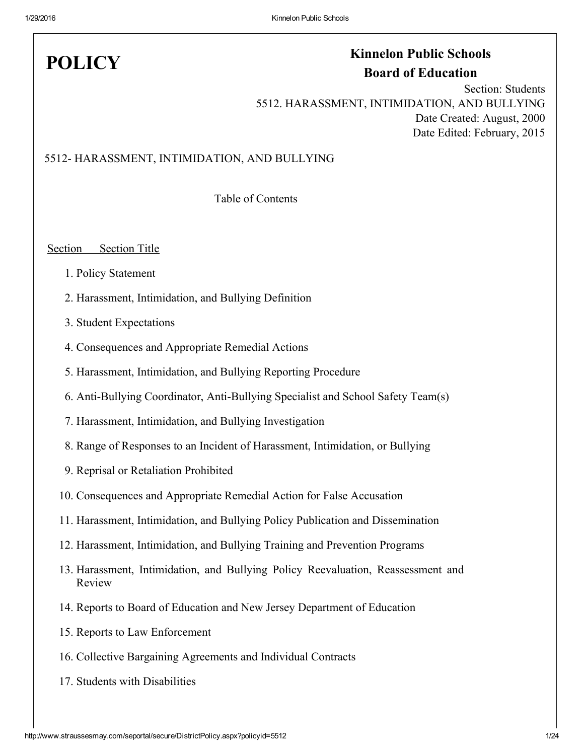# **POLICY**

## Kinnelon Public Schools Board of Education

Section: Students 5512. HARASSMENT, INTIMIDATION, AND BULLYING Date Created: August, 2000 Date Edited: February, 2015

### 5512 HARASSMENT, INTIMIDATION, AND BULLYING

Table of Contents

### Section Section Title

- 1. Policy Statement
- 2. Harassment, Intimidation, and Bullying Definition
- 3. Student Expectations
- 4. Consequences and Appropriate Remedial Actions
- 5. Harassment, Intimidation, and Bullying Reporting Procedure
- 6. Anti-Bullying Coordinator, Anti-Bullying Specialist and School Safety Team(s)
- 7. Harassment, Intimidation, and Bullying Investigation
- 8. Range of Responses to an Incident of Harassment, Intimidation, or Bullying
- 9. Reprisal or Retaliation Prohibited
- 10. Consequences and Appropriate Remedial Action for False Accusation
- 11. Harassment, Intimidation, and Bullying Policy Publication and Dissemination
- 12. Harassment, Intimidation, and Bullying Training and Prevention Programs
- 13. Harassment, Intimidation, and Bullying Policy Reevaluation, Reassessment and Review
- 14. Reports to Board of Education and New Jersey Department of Education
- 15. Reports to Law Enforcement
- 16. Collective Bargaining Agreements and Individual Contracts
- 17. Students with Disabilities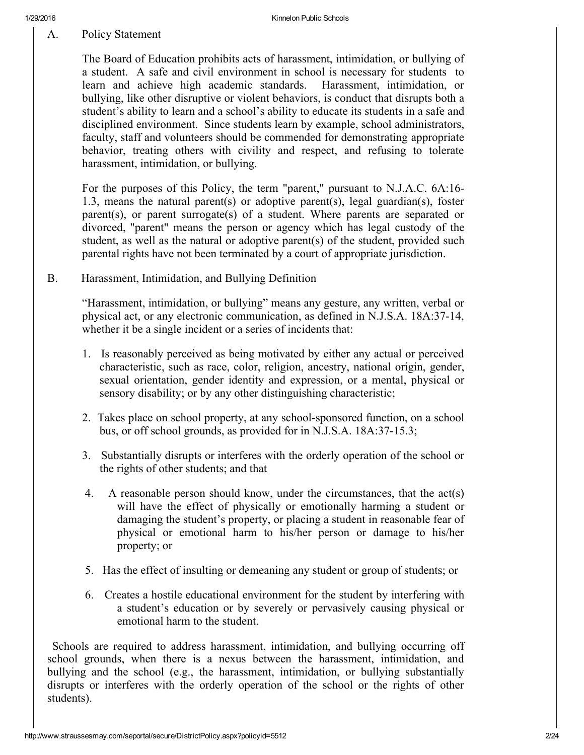A. Policy Statement

The Board of Education prohibits acts of harassment, intimidation, or bullying of a student. A safe and civil environment in school is necessary for students to learn and achieve high academic standards. Harassment, intimidation, or bullying, like other disruptive or violent behaviors, is conduct that disrupts both a student's ability to learn and a school's ability to educate its students in a safe and disciplined environment. Since students learn by example, school administrators, faculty, staff and volunteers should be commended for demonstrating appropriate behavior, treating others with civility and respect, and refusing to tolerate harassment, intimidation, or bullying.

For the purposes of this Policy, the term "parent," pursuant to N.J.A.C. 6A:16 1.3, means the natural parent(s) or adoptive parent(s), legal guardian(s), foster parent(s), or parent surrogate(s) of a student. Where parents are separated or divorced, "parent" means the person or agency which has legal custody of the student, as well as the natural or adoptive parent(s) of the student, provided such parental rights have not been terminated by a court of appropriate jurisdiction.

B. Harassment, Intimidation, and Bullying Definition

"Harassment, intimidation, or bullying" means any gesture, any written, verbal or physical act, or any electronic communication, as defined in N.J.S.A. 18A:37-14, whether it be a single incident or a series of incidents that:

- 1. Is reasonably perceived as being motivated by either any actual or perceived characteristic, such as race, color, religion, ancestry, national origin, gender, sexual orientation, gender identity and expression, or a mental, physical or sensory disability; or by any other distinguishing characteristic;
- 2. Takes place on school property, at any school-sponsored function, on a school bus, or off school grounds, as provided for in N.J.S.A.  $18A:37-15.3$ ;
- 3. Substantially disrupts or interferes with the orderly operation of the school or the rights of other students; and that
- 4. A reasonable person should know, under the circumstances, that the act(s) will have the effect of physically or emotionally harming a student or damaging the student's property, or placing a student in reasonable fear of physical or emotional harm to his/her person or damage to his/her property; or
- 5. Has the effect of insulting or demeaning any student or group of students; or
- 6. Creates a hostile educational environment for the student by interfering with a student's education or by severely or pervasively causing physical or emotional harm to the student.

Schools are required to address harassment, intimidation, and bullying occurring off school grounds, when there is a nexus between the harassment, intimidation, and bullying and the school (e.g., the harassment, intimidation, or bullying substantially disrupts or interferes with the orderly operation of the school or the rights of other students).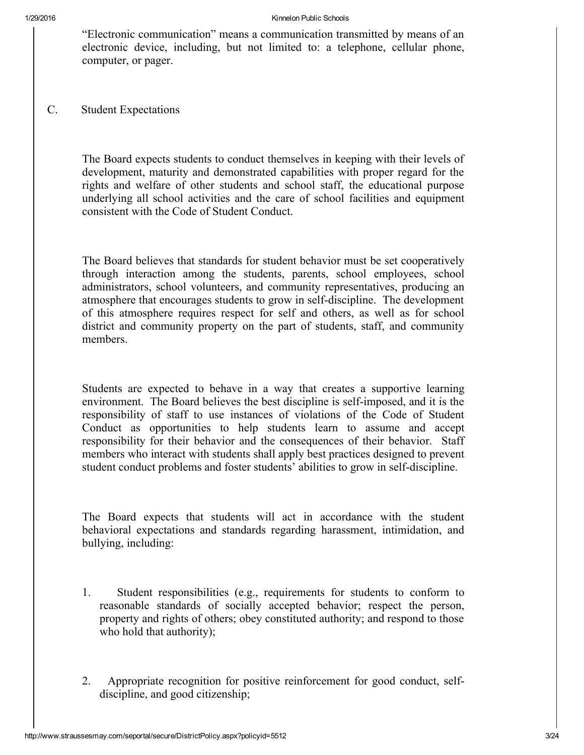"Electronic communication" means a communication transmitted by means of an electronic device, including, but not limited to: a telephone, cellular phone, computer, or pager.

C. Student Expectations

The Board expects students to conduct themselves in keeping with their levels of development, maturity and demonstrated capabilities with proper regard for the rights and welfare of other students and school staff, the educational purpose underlying all school activities and the care of school facilities and equipment consistent with the Code of Student Conduct.

The Board believes that standards for student behavior must be set cooperatively through interaction among the students, parents, school employees, school administrators, school volunteers, and community representatives, producing an atmosphere that encourages students to grow in self-discipline. The development of this atmosphere requires respect for self and others, as well as for school district and community property on the part of students, staff, and community members.

Students are expected to behave in a way that creates a supportive learning environment. The Board believes the best discipline is self-imposed, and it is the responsibility of staff to use instances of violations of the Code of Student Conduct as opportunities to help students learn to assume and accept responsibility for their behavior and the consequences of their behavior. Staff members who interact with students shall apply best practices designed to prevent student conduct problems and foster students' abilities to grow in self-discipline.

The Board expects that students will act in accordance with the student behavioral expectations and standards regarding harassment, intimidation, and bullying, including:

- 1. Student responsibilities (e.g., requirements for students to conform to reasonable standards of socially accepted behavior; respect the person, property and rights of others; obey constituted authority; and respond to those who hold that authority);
- 2. Appropriate recognition for positive reinforcement for good conduct, selfdiscipline, and good citizenship;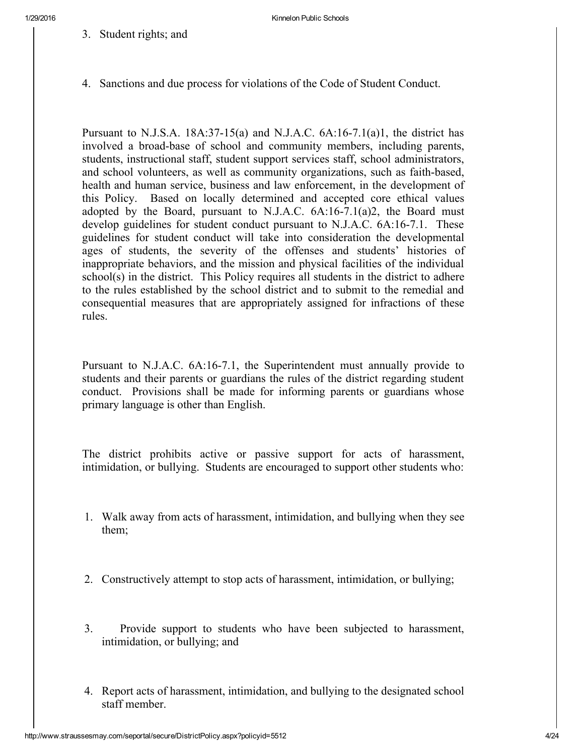3. Student rights; and

4. Sanctions and due process for violations of the Code of Student Conduct.

Pursuant to N.J.S.A.  $18A:37-15(a)$  and N.J.A.C.  $6A:16-7.1(a)1$ , the district has involved a broad-base of school and community members, including parents, students, instructional staff, student support services staff, school administrators, and school volunteers, as well as community organizations, such as faith-based, health and human service, business and law enforcement, in the development of this Policy. Based on locally determined and accepted core ethical values adopted by the Board, pursuant to N.J.A.C.  $6A:16-7.1(a)2$ , the Board must develop guidelines for student conduct pursuant to N.J.A.C. 6A:16-7.1. These guidelines for student conduct will take into consideration the developmental ages of students, the severity of the offenses and students' histories of inappropriate behaviors, and the mission and physical facilities of the individual school(s) in the district. This Policy requires all students in the district to adhere to the rules established by the school district and to submit to the remedial and consequential measures that are appropriately assigned for infractions of these rules.

Pursuant to N.J.A.C. 6A:16-7.1, the Superintendent must annually provide to students and their parents or guardians the rules of the district regarding student conduct. Provisions shall be made for informing parents or guardians whose primary language is other than English.

The district prohibits active or passive support for acts of harassment, intimidation, or bullying. Students are encouraged to support other students who:

- 1. Walk away from acts of harassment, intimidation, and bullying when they see them;
- 2. Constructively attempt to stop acts of harassment, intimidation, or bullying;
- 3. Provide support to students who have been subjected to harassment, intimidation, or bullying; and
- 4. Report acts of harassment, intimidation, and bullying to the designated school staff member.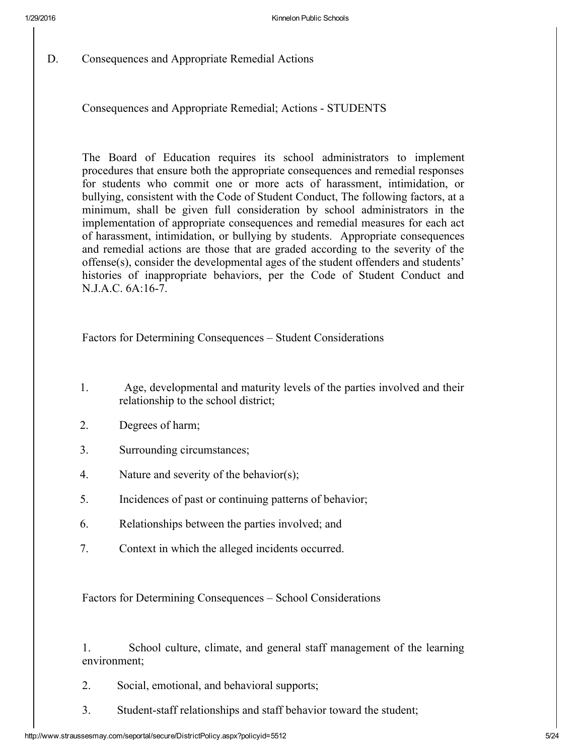D. Consequences and Appropriate Remedial Actions

Consequences and Appropriate Remedial; Actions - STUDENTS

The Board of Education requires its school administrators to implement procedures that ensure both the appropriate consequences and remedial responses for students who commit one or more acts of harassment, intimidation, or bullying, consistent with the Code of Student Conduct, The following factors, at a minimum, shall be given full consideration by school administrators in the implementation of appropriate consequences and remedial measures for each act of harassment, intimidation, or bullying by students. Appropriate consequences and remedial actions are those that are graded according to the severity of the offense(s), consider the developmental ages of the student offenders and students' histories of inappropriate behaviors, per the Code of Student Conduct and N.J.A.C. 6A:16-7.

Factors for Determining Consequences – Student Considerations

- 1. Age, developmental and maturity levels of the parties involved and their relationship to the school district;
- 2. Degrees of harm;
- 3. Surrounding circumstances;
- 4. Nature and severity of the behavior(s);
- 5. Incidences of past or continuing patterns of behavior;
- 6. Relationships between the parties involved; and
- 7. Context in which the alleged incidents occurred.

Factors for Determining Consequences – School Considerations

1. School culture, climate, and general staff management of the learning environment;

- 2. Social, emotional, and behavioral supports;
- 3. Student-staff relationships and staff behavior toward the student;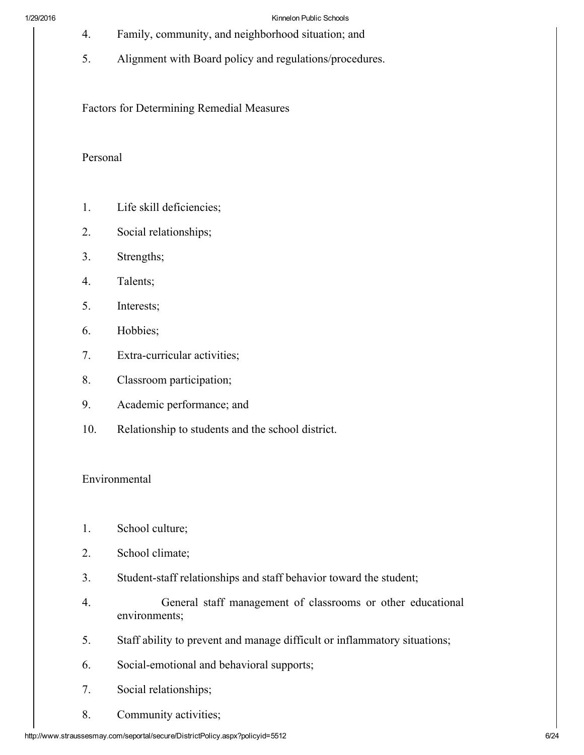- 4. Family, community, and neighborhood situation; and
- 5. Alignment with Board policy and regulations/procedures.

Factors for Determining Remedial Measures

### Personal

- 1. Life skill deficiencies;
- 2. Social relationships;
- 3. Strengths;
- 4. Talents;
- 5. Interests;
- 6. Hobbies;
- 7. Extra-curricular activities;
- 8. Classroom participation;
- 9. Academic performance; and
- 10. Relationship to students and the school district.

### Environmental

- 1. School culture;
- 2. School climate;
- 3. Student-staff relationships and staff behavior toward the student;
- 4. General staff management of classrooms or other educational environments;
- 5. Staff ability to prevent and manage difficult or inflammatory situations;
- 6. Social-emotional and behavioral supports;
- 7. Social relationships;
- 8. Community activities;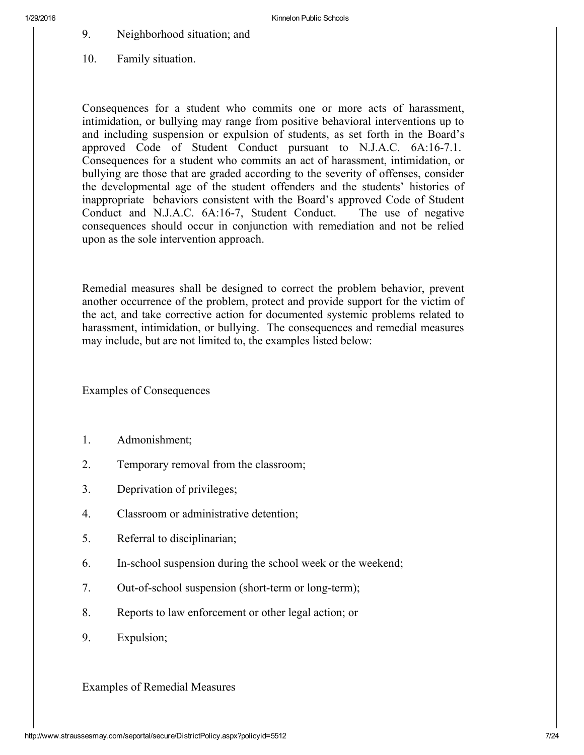- 9. Neighborhood situation; and
- 10. Family situation.

Consequences for a student who commits one or more acts of harassment, intimidation, or bullying may range from positive behavioral interventions up to and including suspension or expulsion of students, as set forth in the Board's approved Code of Student Conduct pursuant to N.J.A.C. 6A:167.1. Consequences for a student who commits an act of harassment, intimidation, or bullying are those that are graded according to the severity of offenses, consider the developmental age of the student offenders and the students' histories of inappropriate behaviors consistent with the Board's approved Code of Student Conduct and N.J.A.C. 6A:167, Student Conduct. The use of negative consequences should occur in conjunction with remediation and not be relied upon as the sole intervention approach.

Remedial measures shall be designed to correct the problem behavior, prevent another occurrence of the problem, protect and provide support for the victim of the act, and take corrective action for documented systemic problems related to harassment, intimidation, or bullying. The consequences and remedial measures may include, but are not limited to, the examples listed below:

Examples of Consequences

- 1. Admonishment;
- 2. Temporary removal from the classroom;
- 3. Deprivation of privileges;
- 4. Classroom or administrative detention;
- 5. Referral to disciplinarian;
- 6. In-school suspension during the school week or the weekend;
- 7. Out-of-school suspension (short-term or long-term);
- 8. Reports to law enforcement or other legal action; or
- 9. Expulsion;

Examples of Remedial Measures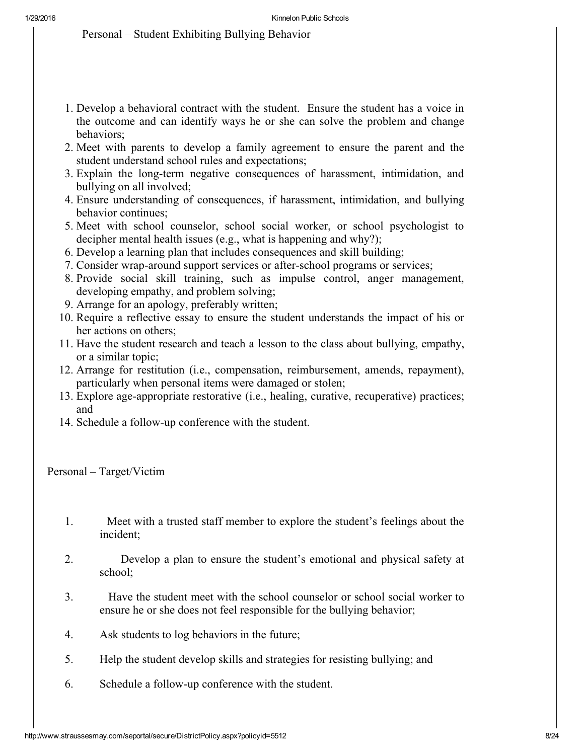Personal – Student Exhibiting Bullying Behavior

- 1. Develop a behavioral contract with the student. Ensure the student has a voice in the outcome and can identify ways he or she can solve the problem and change behaviors;
- 2. Meet with parents to develop a family agreement to ensure the parent and the student understand school rules and expectations;
- 3. Explain the long-term negative consequences of harassment, intimidation, and bullying on all involved;
- 4. Ensure understanding of consequences, if harassment, intimidation, and bullying behavior continues;
- 5. Meet with school counselor, school social worker, or school psychologist to decipher mental health issues (e.g., what is happening and why?);
- 6. Develop a learning plan that includes consequences and skill building;
- 7. Consider wrap-around support services or after-school programs or services;
- 8. Provide social skill training, such as impulse control, anger management, developing empathy, and problem solving;
- 9. Arrange for an apology, preferably written;
- 10. Require a reflective essay to ensure the student understands the impact of his or her actions on others;
- 11. Have the student research and teach a lesson to the class about bullying, empathy, or a similar topic;
- 12. Arrange for restitution (i.e., compensation, reimbursement, amends, repayment), particularly when personal items were damaged or stolen;
- 13. Explore age-appropriate restorative (i.e., healing, curative, recuperative) practices; and
- 14. Schedule a follow-up conference with the student.

Personal – Target/Victim

- 1. Meet with a trusted staff member to explore the student's feelings about the incident;
- 2. Develop a plan to ensure the student's emotional and physical safety at school;
- 3. Have the student meet with the school counselor or school social worker to ensure he or she does not feel responsible for the bullying behavior;
- 4. Ask students to log behaviors in the future;
- 5. Help the student develop skills and strategies for resisting bullying; and
- 6. Schedule a followup conference with the student.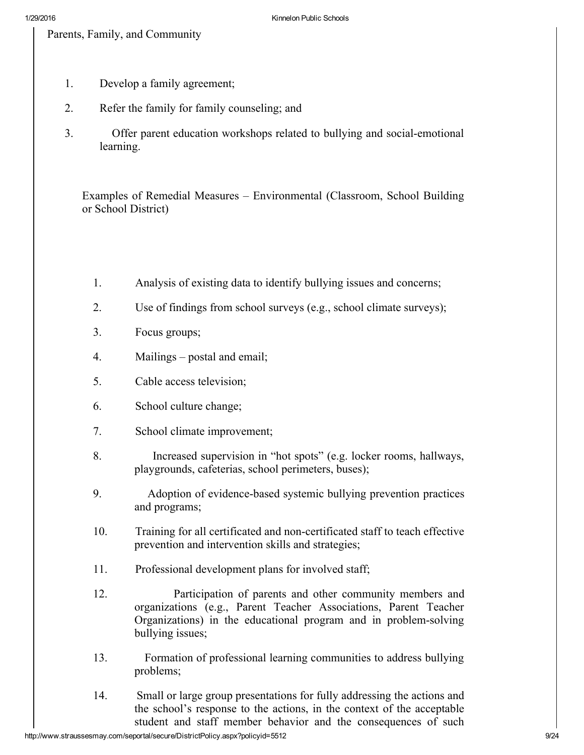Parents, Family, and Community

- 1. Develop a family agreement;
- 2. Refer the family for family counseling; and
- 3. Offer parent education workshops related to bullying and social-emotional learning.

Examples of Remedial Measures – Environmental (Classroom, School Building or School District)

- 1. Analysis of existing data to identify bullying issues and concerns;
- 2. Use of findings from school surveys (e.g., school climate surveys);
- 3. Focus groups;
- 4. Mailings postal and email;
- 5. Cable access television;
- 6. School culture change;
- 7. School climate improvement;
- 8. Increased supervision in "hot spots" (e.g. locker rooms, hallways, playgrounds, cafeterias, school perimeters, buses);
- 9. Adoption of evidence-based systemic bullying prevention practices and programs;
- 10. Training for all certificated and non-certificated staff to teach effective prevention and intervention skills and strategies;
- 11. Professional development plans for involved staff;
- 12. Participation of parents and other community members and organizations (e.g., Parent Teacher Associations, Parent Teacher Organizations) in the educational program and in problem-solving bullying issues;
- 13. Formation of professional learning communities to address bullying problems;
- 14. Small or large group presentations for fully addressing the actions and the school's response to the actions, in the context of the acceptable student and staff member behavior and the consequences of such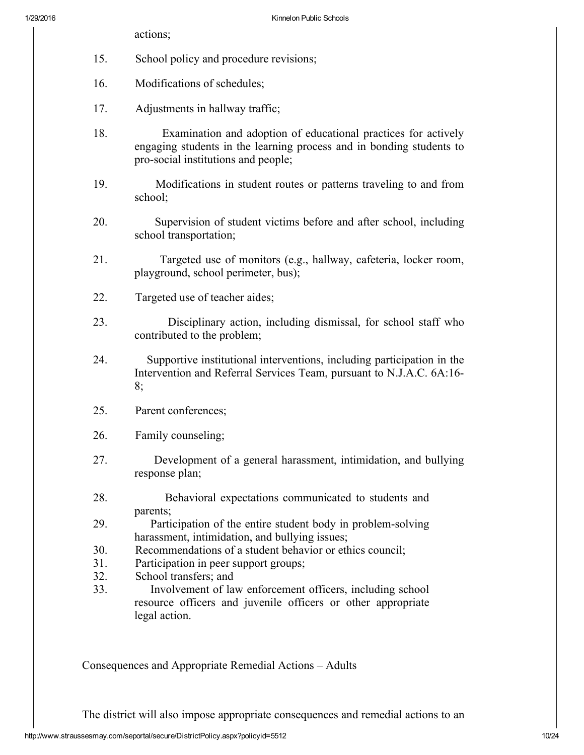- actions;
- 15. School policy and procedure revisions;
- 16. Modifications of schedules;
- 17. Adjustments in hallway traffic;
- 18. Examination and adoption of educational practices for actively engaging students in the learning process and in bonding students to pro-social institutions and people;
- 19. Modifications in student routes or patterns traveling to and from school;
- 20. Supervision of student victims before and after school, including school transportation;
- 21. Targeted use of monitors (e.g., hallway, cafeteria, locker room, playground, school perimeter, bus);
- 22. Targeted use of teacher aides;
- 23. Disciplinary action, including dismissal, for school staff who contributed to the problem;
- 24. Supportive institutional interventions, including participation in the Intervention and Referral Services Team, pursuant to N.J.A.C. 6A:16 8;
- 25. Parent conferences;
- 26. Family counseling;
- 27. Development of a general harassment, intimidation, and bullying response plan;
- 28. Behavioral expectations communicated to students and parents;
- 29. Participation of the entire student body in problem-solving harassment, intimidation, and bullying issues;
- 30. Recommendations of a student behavior or ethics council;
- 31. Participation in peer support groups;
- 32. School transfers; and
- 33. Involvement of law enforcement officers, including school resource officers and juvenile officers or other appropriate legal action.

Consequences and Appropriate Remedial Actions – Adults

The district will also impose appropriate consequences and remedial actions to an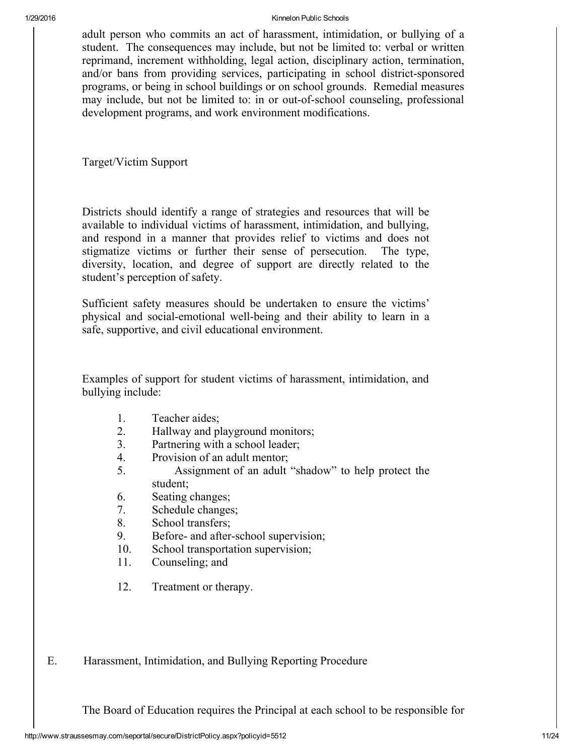adult person who commits an act of harassment, intimidation, or bullying of a student. The consequences may include, but not be limited to: verbal or written reprimand, increment withholding, legal action, disciplinary action, termination, and/or bans from providing services, participating in school district-sponsored programs, or being in school buildings or on school grounds. Remedial measures may include, but not be limited to: in or out-of-school counseling, professional development programs, and work environment modifications.

Target/Victim Support

Districts should identify a range of strategies and resources that will be available to individual victims of harassment, intimidation, and bullying, and respond in a manner that provides relief to victims and does not stigmatize victims or further their sense of persecution. The type, diversity, location, and degree of support are directly related to the student's perception of safety.

Sufficient safety measures should be undertaken to ensure the victims' physical and social-emotional well-being and their ability to learn in a safe, supportive, and civil educational environment.

Examples of support for student victims of harassment, intimidation, and bullying include:

- 1. Teacher aides;
- 2. Hallway and playground monitors;
- 3. Partnering with a school leader;
- 4. Provision of an adult mentor;
- 5. Assignment of an adult "shadow" to help protect the student;
- 6. Seating changes;
- 7. Schedule changes;
- 8. School transfers;
- 9. Before- and after-school supervision;
- 10. School transportation supervision;
- 11. Counseling; and
- 12. Treatment or therapy.
- E. Harassment, Intimidation, and Bullying Reporting Procedure

The Board of Education requires the Principal at each school to be responsible for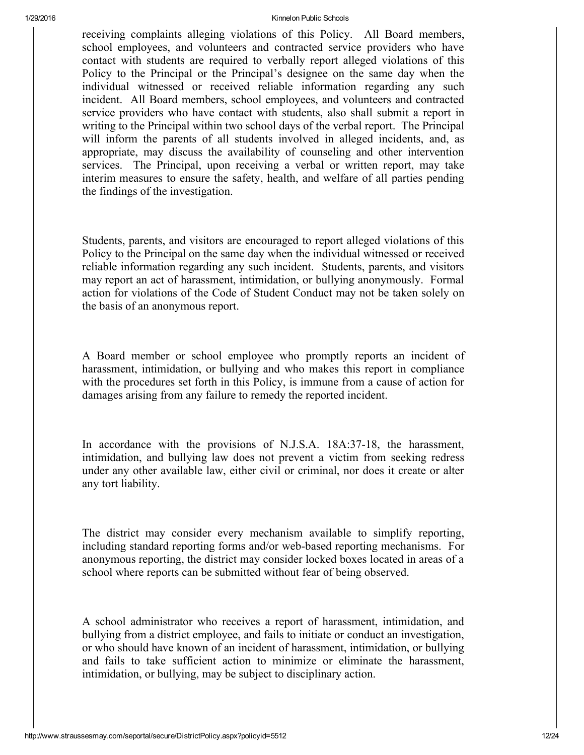receiving complaints alleging violations of this Policy. All Board members, school employees, and volunteers and contracted service providers who have contact with students are required to verbally report alleged violations of this Policy to the Principal or the Principal's designee on the same day when the individual witnessed or received reliable information regarding any such incident. All Board members, school employees, and volunteers and contracted service providers who have contact with students, also shall submit a report in writing to the Principal within two school days of the verbal report. The Principal will inform the parents of all students involved in alleged incidents, and, as appropriate, may discuss the availability of counseling and other intervention services. The Principal, upon receiving a verbal or written report, may take interim measures to ensure the safety, health, and welfare of all parties pending the findings of the investigation.

Students, parents, and visitors are encouraged to report alleged violations of this Policy to the Principal on the same day when the individual witnessed or received reliable information regarding any such incident. Students, parents, and visitors may report an act of harassment, intimidation, or bullying anonymously. Formal action for violations of the Code of Student Conduct may not be taken solely on the basis of an anonymous report.

A Board member or school employee who promptly reports an incident of harassment, intimidation, or bullying and who makes this report in compliance with the procedures set forth in this Policy, is immune from a cause of action for damages arising from any failure to remedy the reported incident.

In accordance with the provisions of N.J.S.A. 18A:37-18, the harassment, intimidation, and bullying law does not prevent a victim from seeking redress under any other available law, either civil or criminal, nor does it create or alter any tort liability.

The district may consider every mechanism available to simplify reporting, including standard reporting forms and/or web-based reporting mechanisms. For anonymous reporting, the district may consider locked boxes located in areas of a school where reports can be submitted without fear of being observed.

A school administrator who receives a report of harassment, intimidation, and bullying from a district employee, and fails to initiate or conduct an investigation, or who should have known of an incident of harassment, intimidation, or bullying and fails to take sufficient action to minimize or eliminate the harassment, intimidation, or bullying, may be subject to disciplinary action.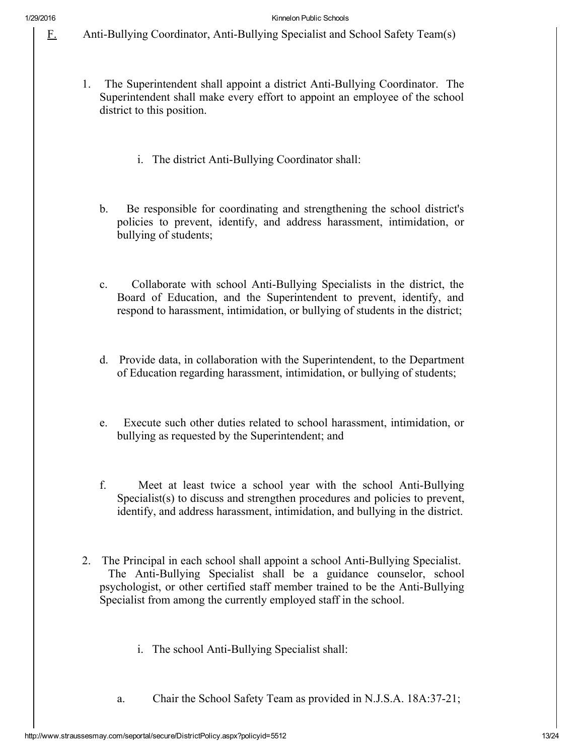F. Anti-Bullying Coordinator, Anti-Bullying Specialist and School Safety Team(s)

- 1. The Superintendent shall appoint a district Anti-Bullying Coordinator. The Superintendent shall make every effort to appoint an employee of the school district to this position.
	- i. The district Anti-Bullying Coordinator shall:
	- b. Be responsible for coordinating and strengthening the school district's policies to prevent, identify, and address harassment, intimidation, or bullying of students;
	- c. Collaborate with school Anti-Bullying Specialists in the district, the Board of Education, and the Superintendent to prevent, identify, and respond to harassment, intimidation, or bullying of students in the district;
	- d. Provide data, in collaboration with the Superintendent, to the Department of Education regarding harassment, intimidation, or bullying of students;
	- e. Execute such other duties related to school harassment, intimidation, or bullying as requested by the Superintendent; and
	- f. Meet at least twice a school year with the school Anti-Bullying Specialist(s) to discuss and strengthen procedures and policies to prevent, identify, and address harassment, intimidation, and bullying in the district.
- 2. The Principal in each school shall appoint a school Anti-Bullying Specialist. The Anti-Bullying Specialist shall be a guidance counselor, school psychologist, or other certified staff member trained to be the Anti-Bullying Specialist from among the currently employed staff in the school.
	- i. The school Anti-Bullying Specialist shall:
	- a. Chair the School Safety Team as provided in N.J.S.A. 18A:37-21;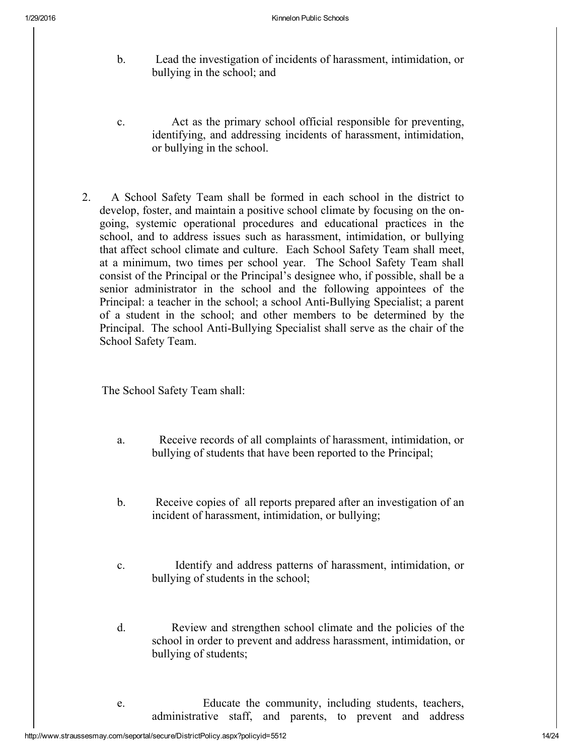- b. Lead the investigation of incidents of harassment, intimidation, or bullying in the school; and
- c. Act as the primary school official responsible for preventing, identifying, and addressing incidents of harassment, intimidation, or bullying in the school.
- 2. A School Safety Team shall be formed in each school in the district to develop, foster, and maintain a positive school climate by focusing on the ongoing, systemic operational procedures and educational practices in the school, and to address issues such as harassment, intimidation, or bullying that affect school climate and culture. Each School Safety Team shall meet, at a minimum, two times per school year. The School Safety Team shall consist of the Principal or the Principal's designee who, if possible, shall be a senior administrator in the school and the following appointees of the Principal: a teacher in the school; a school Anti-Bullying Specialist; a parent of a student in the school; and other members to be determined by the Principal. The school Anti-Bullying Specialist shall serve as the chair of the School Safety Team.

The School Safety Team shall:

- a. Receive records of all complaints of harassment, intimidation, or bullying of students that have been reported to the Principal;
- b. Receive copies of all reports prepared after an investigation of an incident of harassment, intimidation, or bullying;
- c. Identify and address patterns of harassment, intimidation, or bullying of students in the school;
- d. Review and strengthen school climate and the policies of the school in order to prevent and address harassment, intimidation, or bullying of students;
- e. Educate the community, including students, teachers, administrative staff, and parents, to prevent and address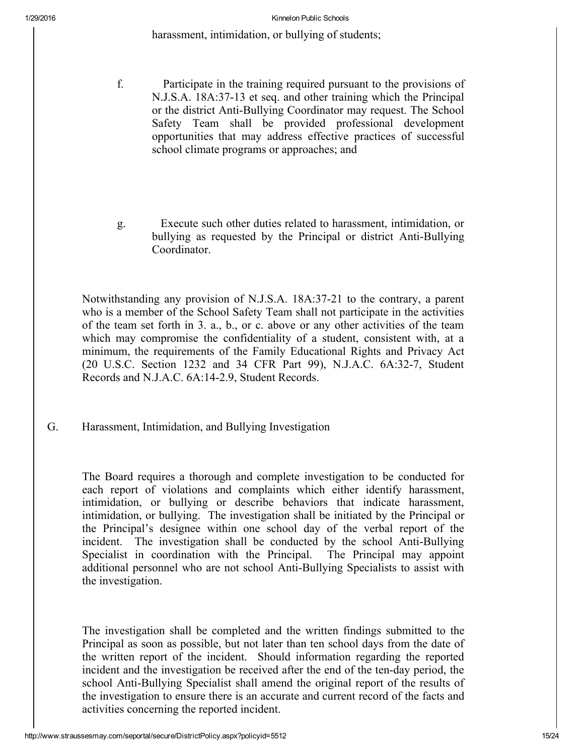harassment, intimidation, or bullying of students;

- f. Participate in the training required pursuant to the provisions of N.J.S.A. 18A:37-13 et seq. and other training which the Principal or the district Anti-Bullying Coordinator may request. The School Safety Team shall be provided professional development opportunities that may address effective practices of successful school climate programs or approaches; and
- g. Execute such other duties related to harassment, intimidation, or bullying as requested by the Principal or district Anti-Bullying Coordinator.

Notwithstanding any provision of N.J.S.A. 18A:3721 to the contrary, a parent who is a member of the School Safety Team shall not participate in the activities of the team set forth in 3. a., b., or c. above or any other activities of the team which may compromise the confidentiality of a student, consistent with, at a minimum, the requirements of the Family Educational Rights and Privacy Act (20 U.S.C. Section 1232 and 34 CFR Part 99), N.J.A.C. 6A:32-7, Student Records and N.J.A.C. 6A:142.9, Student Records.

G. Harassment, Intimidation, and Bullying Investigation

The Board requires a thorough and complete investigation to be conducted for each report of violations and complaints which either identify harassment, intimidation, or bullying or describe behaviors that indicate harassment, intimidation, or bullying. The investigation shall be initiated by the Principal or the Principal's designee within one school day of the verbal report of the incident. The investigation shall be conducted by the school Anti-Bullying Specialist in coordination with the Principal. The Principal may appoint additional personnel who are not school Anti-Bullying Specialists to assist with the investigation.

The investigation shall be completed and the written findings submitted to the Principal as soon as possible, but not later than ten school days from the date of the written report of the incident. Should information regarding the reported incident and the investigation be received after the end of the ten-day period, the school Anti-Bullying Specialist shall amend the original report of the results of the investigation to ensure there is an accurate and current record of the facts and activities concerning the reported incident.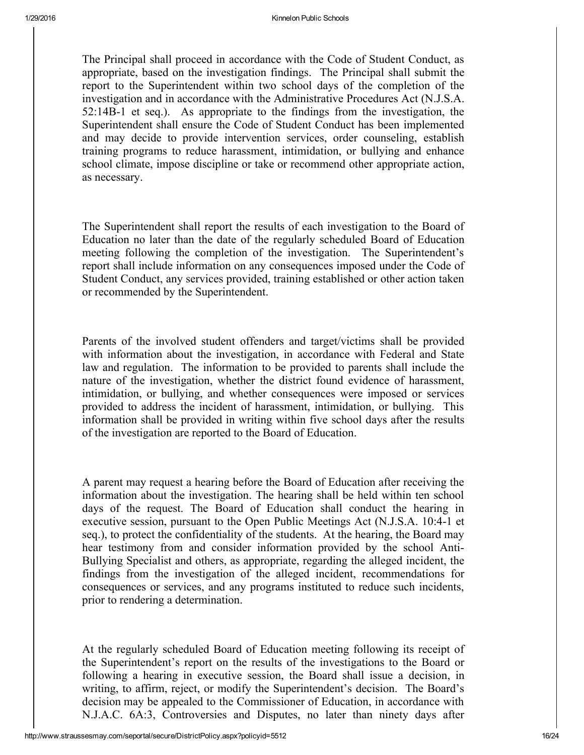The Principal shall proceed in accordance with the Code of Student Conduct, as appropriate, based on the investigation findings. The Principal shall submit the report to the Superintendent within two school days of the completion of the investigation and in accordance with the Administrative Procedures Act (N.J.S.A. 52:14B1 et seq.). As appropriate to the findings from the investigation, the Superintendent shall ensure the Code of Student Conduct has been implemented and may decide to provide intervention services, order counseling, establish training programs to reduce harassment, intimidation, or bullying and enhance school climate, impose discipline or take or recommend other appropriate action, as necessary.

The Superintendent shall report the results of each investigation to the Board of Education no later than the date of the regularly scheduled Board of Education meeting following the completion of the investigation. The Superintendent's report shall include information on any consequences imposed under the Code of Student Conduct, any services provided, training established or other action taken or recommended by the Superintendent.

Parents of the involved student offenders and target/victims shall be provided with information about the investigation, in accordance with Federal and State law and regulation. The information to be provided to parents shall include the nature of the investigation, whether the district found evidence of harassment, intimidation, or bullying, and whether consequences were imposed or services provided to address the incident of harassment, intimidation, or bullying. This information shall be provided in writing within five school days after the results of the investigation are reported to the Board of Education.

A parent may request a hearing before the Board of Education after receiving the information about the investigation. The hearing shall be held within ten school days of the request. The Board of Education shall conduct the hearing in executive session, pursuant to the Open Public Meetings Act (N.J.S.A. 10:41 et seq.), to protect the confidentiality of the students. At the hearing, the Board may hear testimony from and consider information provided by the school Anti-Bullying Specialist and others, as appropriate, regarding the alleged incident, the findings from the investigation of the alleged incident, recommendations for consequences or services, and any programs instituted to reduce such incidents, prior to rendering a determination.

At the regularly scheduled Board of Education meeting following its receipt of the Superintendent's report on the results of the investigations to the Board or following a hearing in executive session, the Board shall issue a decision, in writing, to affirm, reject, or modify the Superintendent's decision. The Board's decision may be appealed to the Commissioner of Education, in accordance with N.J.A.C. 6A:3, Controversies and Disputes, no later than ninety days after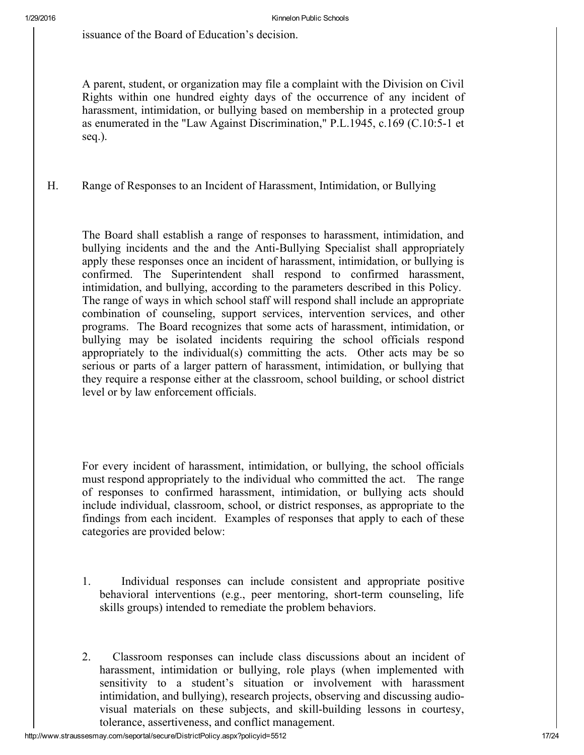issuance of the Board of Education's decision.

A parent, student, or organization may file a complaint with the Division on Civil Rights within one hundred eighty days of the occurrence of any incident of harassment, intimidation, or bullying based on membership in a protected group as enumerated in the "Law Against Discrimination," P.L.1945, c.169 (C.10:5-1 et seq.).

### H. Range of Responses to an Incident of Harassment, Intimidation, or Bullying

The Board shall establish a range of responses to harassment, intimidation, and bullying incidents and the and the Anti-Bullying Specialist shall appropriately apply these responses once an incident of harassment, intimidation, or bullying is confirmed. The Superintendent shall respond to confirmed harassment, intimidation, and bullying, according to the parameters described in this Policy. The range of ways in which school staff will respond shall include an appropriate combination of counseling, support services, intervention services, and other programs. The Board recognizes that some acts of harassment, intimidation, or bullying may be isolated incidents requiring the school officials respond appropriately to the individual(s) committing the acts. Other acts may be so serious or parts of a larger pattern of harassment, intimidation, or bullying that they require a response either at the classroom, school building, or school district level or by law enforcement officials.

For every incident of harassment, intimidation, or bullying, the school officials must respond appropriately to the individual who committed the act. The range of responses to confirmed harassment, intimidation, or bullying acts should include individual, classroom, school, or district responses, as appropriate to the findings from each incident. Examples of responses that apply to each of these categories are provided below:

- 1. Individual responses can include consistent and appropriate positive behavioral interventions (e.g., peer mentoring, short-term counseling, life skills groups) intended to remediate the problem behaviors.
- 2. Classroom responses can include class discussions about an incident of harassment, intimidation or bullying, role plays (when implemented with sensitivity to a student's situation or involvement with harassment intimidation, and bullying), research projects, observing and discussing audiovisual materials on these subjects, and skill-building lessons in courtesy, tolerance, assertiveness, and conflict management.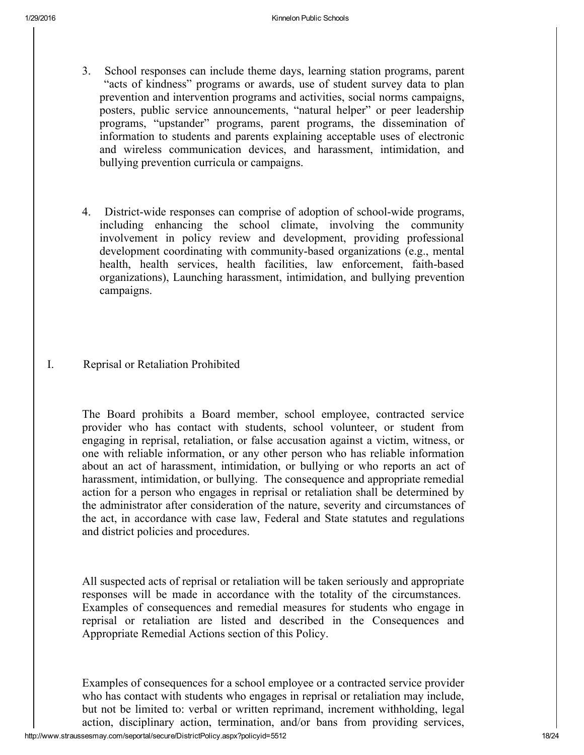- 3. School responses can include theme days, learning station programs, parent "acts of kindness" programs or awards, use of student survey data to plan prevention and intervention programs and activities, social norms campaigns, posters, public service announcements, "natural helper" or peer leadership programs, "upstander" programs, parent programs, the dissemination of information to students and parents explaining acceptable uses of electronic and wireless communication devices, and harassment, intimidation, and bullying prevention curricula or campaigns.
- 4. District-wide responses can comprise of adoption of school-wide programs, including enhancing the school climate, involving the community involvement in policy review and development, providing professional development coordinating with community-based organizations (e.g., mental health, health services, health facilities, law enforcement, faith-based organizations), Launching harassment, intimidation, and bullying prevention campaigns.
- I. Reprisal or Retaliation Prohibited

The Board prohibits a Board member, school employee, contracted service provider who has contact with students, school volunteer, or student from engaging in reprisal, retaliation, or false accusation against a victim, witness, or one with reliable information, or any other person who has reliable information about an act of harassment, intimidation, or bullying or who reports an act of harassment, intimidation, or bullying. The consequence and appropriate remedial action for a person who engages in reprisal or retaliation shall be determined by the administrator after consideration of the nature, severity and circumstances of the act, in accordance with case law, Federal and State statutes and regulations and district policies and procedures.

All suspected acts of reprisal or retaliation will be taken seriously and appropriate responses will be made in accordance with the totality of the circumstances. Examples of consequences and remedial measures for students who engage in reprisal or retaliation are listed and described in the Consequences and Appropriate Remedial Actions section of this Policy.

Examples of consequences for a school employee or a contracted service provider who has contact with students who engages in reprisal or retaliation may include, but not be limited to: verbal or written reprimand, increment withholding, legal action, disciplinary action, termination, and/or bans from providing services,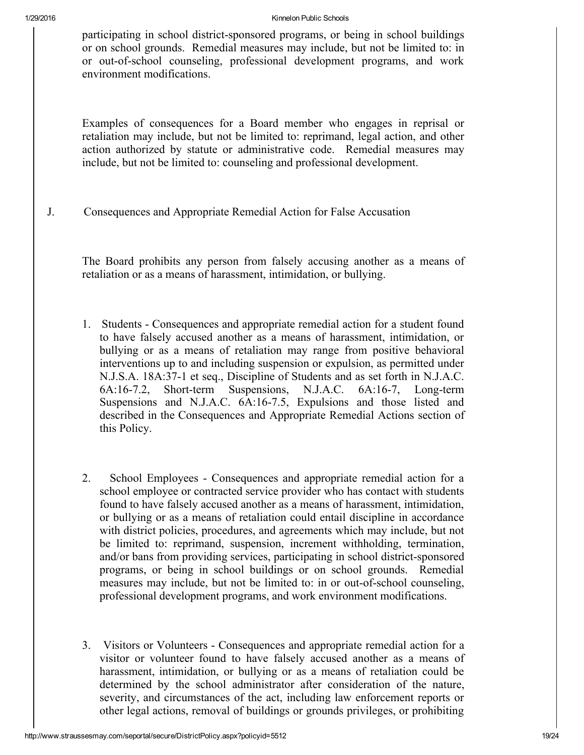participating in school district-sponsored programs, or being in school buildings or on school grounds. Remedial measures may include, but not be limited to: in or out-of-school counseling, professional development programs, and work environment modifications.

Examples of consequences for a Board member who engages in reprisal or retaliation may include, but not be limited to: reprimand, legal action, and other action authorized by statute or administrative code. Remedial measures may include, but not be limited to: counseling and professional development.

J. Consequences and Appropriate Remedial Action for False Accusation

The Board prohibits any person from falsely accusing another as a means of retaliation or as a means of harassment, intimidation, or bullying.

- 1. Students Consequences and appropriate remedial action for a student found to have falsely accused another as a means of harassment, intimidation, or bullying or as a means of retaliation may range from positive behavioral interventions up to and including suspension or expulsion, as permitted under N.J.S.A. 18A:371 et seq., Discipline of Students and as set forth in N.J.A.C. 6A:16-7.2, Short-term Suspensions, N.J.A.C. 6A:16-7, Long-term Suspensions and N.J.A.C. 6A:16-7.5, Expulsions and those listed and described in the Consequences and Appropriate Remedial Actions section of this Policy.
- 2. School Employees Consequences and appropriate remedial action for a school employee or contracted service provider who has contact with students found to have falsely accused another as a means of harassment, intimidation, or bullying or as a means of retaliation could entail discipline in accordance with district policies, procedures, and agreements which may include, but not be limited to: reprimand, suspension, increment withholding, termination, and/or bans from providing services, participating in school district-sponsored programs, or being in school buildings or on school grounds. Remedial measures may include, but not be limited to: in or out-of-school counseling, professional development programs, and work environment modifications.
- 3. Visitors or Volunteers Consequences and appropriate remedial action for a visitor or volunteer found to have falsely accused another as a means of harassment, intimidation, or bullying or as a means of retaliation could be determined by the school administrator after consideration of the nature, severity, and circumstances of the act, including law enforcement reports or other legal actions, removal of buildings or grounds privileges, or prohibiting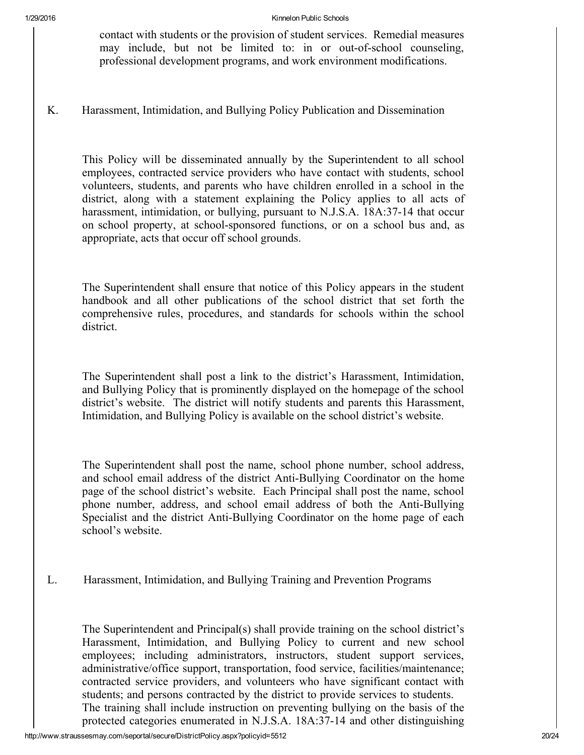contact with students or the provision of student services. Remedial measures may include, but not be limited to: in or out-of-school counseling, professional development programs, and work environment modifications.

K. Harassment, Intimidation, and Bullying Policy Publication and Dissemination

This Policy will be disseminated annually by the Superintendent to all school employees, contracted service providers who have contact with students, school volunteers, students, and parents who have children enrolled in a school in the district, along with a statement explaining the Policy applies to all acts of harassment, intimidation, or bullying, pursuant to N.J.S.A. 18A:37-14 that occur on school property, at school-sponsored functions, or on a school bus and, as appropriate, acts that occur off school grounds.

The Superintendent shall ensure that notice of this Policy appears in the student handbook and all other publications of the school district that set forth the comprehensive rules, procedures, and standards for schools within the school district.

The Superintendent shall post a link to the district's Harassment, Intimidation, and Bullying Policy that is prominently displayed on the homepage of the school district's website. The district will notify students and parents this Harassment, Intimidation, and Bullying Policy is available on the school district's website.

The Superintendent shall post the name, school phone number, school address, and school email address of the district Anti-Bullying Coordinator on the home page of the school district's website. Each Principal shall post the name, school phone number, address, and school email address of both the Anti-Bullying Specialist and the district Anti-Bullying Coordinator on the home page of each school's website.

L. Harassment, Intimidation, and Bullying Training and Prevention Programs

The Superintendent and Principal(s) shall provide training on the school district's Harassment, Intimidation, and Bullying Policy to current and new school employees; including administrators, instructors, student support services, administrative/office support, transportation, food service, facilities/maintenance; contracted service providers, and volunteers who have significant contact with students; and persons contracted by the district to provide services to students. The training shall include instruction on preventing bullying on the basis of the protected categories enumerated in N.J.S.A.  $18A:37-14$  and other distinguishing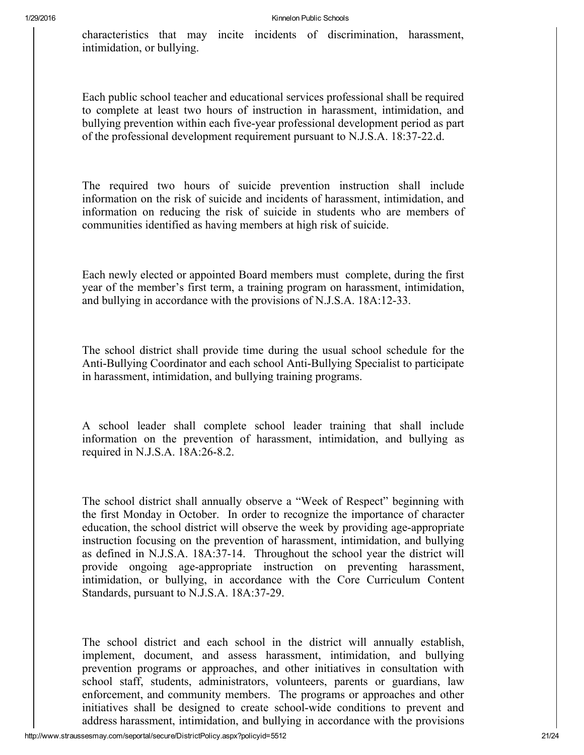characteristics that may incite incidents of discrimination, harassment, intimidation, or bullying.

Each public school teacher and educational services professional shall be required to complete at least two hours of instruction in harassment, intimidation, and bullying prevention within each five-year professional development period as part of the professional development requirement pursuant to N.J.S.A. 18:37-22.d.

The required two hours of suicide prevention instruction shall include information on the risk of suicide and incidents of harassment, intimidation, and information on reducing the risk of suicide in students who are members of communities identified as having members at high risk of suicide.

Each newly elected or appointed Board members must complete, during the first year of the member's first term, a training program on harassment, intimidation, and bullying in accordance with the provisions of N.J.S.A. 18A:12-33.

The school district shall provide time during the usual school schedule for the Anti-Bullying Coordinator and each school Anti-Bullying Specialist to participate in harassment, intimidation, and bullying training programs.

A school leader shall complete school leader training that shall include information on the prevention of harassment, intimidation, and bullying as required in N.J.S.A.  $18A:26-8.2$ .

The school district shall annually observe a "Week of Respect" beginning with the first Monday in October. In order to recognize the importance of character education, the school district will observe the week by providing age-appropriate instruction focusing on the prevention of harassment, intimidation, and bullying as defined in N.J.S.A. 18A:37-14. Throughout the school year the district will provide ongoing age-appropriate instruction on preventing harassment, intimidation, or bullying, in accordance with the Core Curriculum Content Standards, pursuant to N.J.S.A. 18A:37-29.

The school district and each school in the district will annually establish, implement, document, and assess harassment, intimidation, and bullying prevention programs or approaches, and other initiatives in consultation with school staff, students, administrators, volunteers, parents or guardians, law enforcement, and community members. The programs or approaches and other initiatives shall be designed to create school-wide conditions to prevent and address harassment, intimidation, and bullying in accordance with the provisions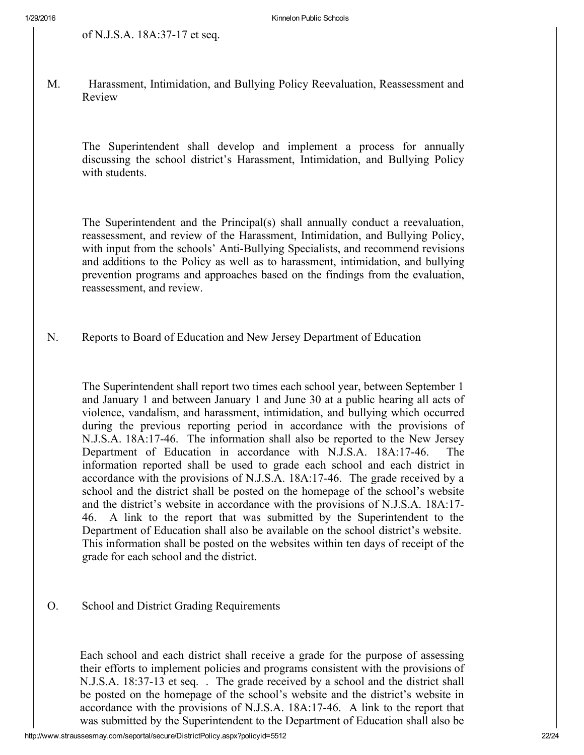M. Harassment, Intimidation, and Bullying Policy Reevaluation, Reassessment and Review

The Superintendent shall develop and implement a process for annually discussing the school district's Harassment, Intimidation, and Bullying Policy with students.

The Superintendent and the Principal(s) shall annually conduct a reevaluation, reassessment, and review of the Harassment, Intimidation, and Bullying Policy, with input from the schools' Anti-Bullying Specialists, and recommend revisions and additions to the Policy as well as to harassment, intimidation, and bullying prevention programs and approaches based on the findings from the evaluation, reassessment, and review.

N. Reports to Board of Education and New Jersey Department of Education

The Superintendent shall report two times each school year, between September 1 and January 1 and between January 1 and June 30 at a public hearing all acts of violence, vandalism, and harassment, intimidation, and bullying which occurred during the previous reporting period in accordance with the provisions of N.J.S.A. 18A:1746. The information shall also be reported to the New Jersey Department of Education in accordance with N.J.S.A. 18A:1746. The information reported shall be used to grade each school and each district in accordance with the provisions of N.J.S.A. 18A:1746. The grade received by a school and the district shall be posted on the homepage of the school's website and the district's website in accordance with the provisions of N.J.S.A. 18A:17 46. A link to the report that was submitted by the Superintendent to the Department of Education shall also be available on the school district's website. This information shall be posted on the websites within ten days of receipt of the grade for each school and the district.

O. School and District Grading Requirements

Each school and each district shall receive a grade for the purpose of assessing their efforts to implement policies and programs consistent with the provisions of N.J.S.A. 18:37-13 et seq. . The grade received by a school and the district shall be posted on the homepage of the school's website and the district's website in accordance with the provisions of N.J.S.A. 18A:1746. A link to the report that was submitted by the Superintendent to the Department of Education shall also be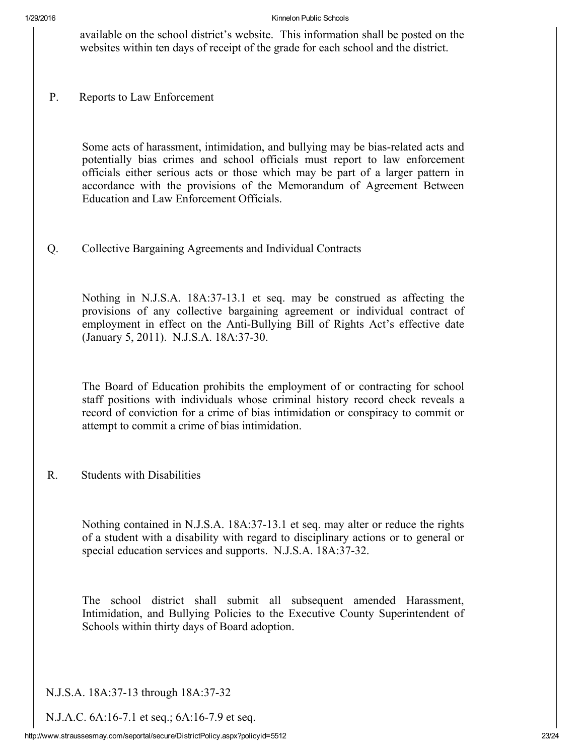available on the school district's website. This information shall be posted on the websites within ten days of receipt of the grade for each school and the district.

P. Reports to Law Enforcement

Some acts of harassment, intimidation, and bullying may be bias-related acts and potentially bias crimes and school officials must report to law enforcement officials either serious acts or those which may be part of a larger pattern in accordance with the provisions of the Memorandum of Agreement Between Education and Law Enforcement Officials.

Q. Collective Bargaining Agreements and Individual Contracts

Nothing in N.J.S.A. 18A:37-13.1 et seq. may be construed as affecting the provisions of any collective bargaining agreement or individual contract of employment in effect on the Anti-Bullying Bill of Rights Act's effective date (January 5, 2011). N.J.S.A. 18A:37-30.

The Board of Education prohibits the employment of or contracting for school staff positions with individuals whose criminal history record check reveals a record of conviction for a crime of bias intimidation or conspiracy to commit or attempt to commit a crime of bias intimidation.

R. Students with Disabilities

Nothing contained in N.J.S.A. 18A:37-13.1 et seq. may alter or reduce the rights of a student with a disability with regard to disciplinary actions or to general or special education services and supports. N.J.S.A. 18A:37-32.

The school district shall submit all subsequent amended Harassment, Intimidation, and Bullying Policies to the Executive County Superintendent of Schools within thirty days of Board adoption.

N.J.S.A. 18A:37-13 through 18A:37-32

N.J.A.C. 6A:16-7.1 et seq.; 6A:16-7.9 et seq.